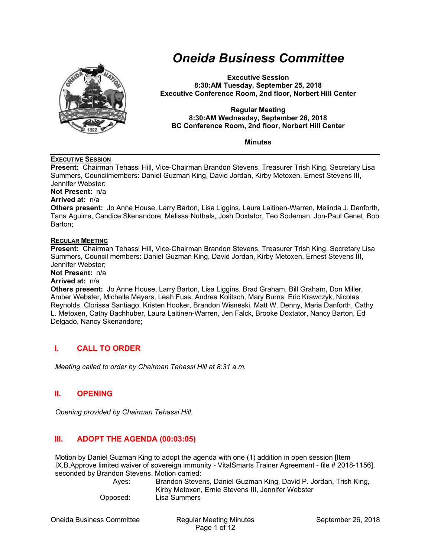

# *Oneida Business Committee*

**Executive Session 8:30:AM Tuesday, September 25, 2018 Executive Conference Room, 2nd floor, Norbert Hill Center** 

#### **Regular Meeting 8:30:AM Wednesday, September 26, 2018 BC Conference Room, 2nd floor, Norbert Hill Center**

**Minutes** 

## **EXECUTIVE SESSION**

**Present:** Chairman Tehassi Hill, Vice-Chairman Brandon Stevens, Treasurer Trish King, Secretary Lisa Summers, Councilmembers: Daniel Guzman King, David Jordan, Kirby Metoxen, Ernest Stevens III, Jennifer Webster;

**Not Present:** n/a

#### **Arrived at:** n/a

**Others present:** Jo Anne House, Larry Barton, Lisa Liggins, Laura Laitinen‐Warren, Melinda J. Danforth, Tana Aguirre, Candice Skenandore, Melissa Nuthals, Josh Doxtator, Teo Sodeman, Jon‐Paul Genet, Bob Barton;

#### **REGULAR MEETING**

**Present:** Chairman Tehassi Hill, Vice-Chairman Brandon Stevens, Treasurer Trish King, Secretary Lisa Summers, Council members: Daniel Guzman King, David Jordan, Kirby Metoxen, Ernest Stevens III, Jennifer Webster;

**Not Present:** n/a

**Arrived at:** n/a

**Others present:** Jo Anne House, Larry Barton, Lisa Liggins, Brad Graham, Bill Graham, Don Miller, Amber Webster, Michelle Meyers, Leah Fuss, Andrea Kolitsch, Mary Burns, Eric Krawczyk, Nicolas Reynolds, Clorissa Santiago, Kristen Hooker, Brandon Wisneski, Matt W. Denny, Maria Danforth, Cathy L. Metoxen, Cathy Bachhuber, Laura Laitinen-Warren, Jen Falck, Brooke Doxtator, Nancy Barton, Ed Delgado, Nancy Skenandore;

# **I. CALL TO ORDER**

*Meeting called to order by Chairman Tehassi Hill at 8:31 a.m.* 

# **II. OPENING**

*Opening provided by Chairman Tehassi Hill.* 

# **III. ADOPT THE AGENDA (00:03:05)**

Motion by Daniel Guzman King to adopt the agenda with one (1) addition in open session [Item IX.B.Approve limited waiver of sovereign immunity - VitalSmarts Trainer Agreement - file # 2018-1156], seconded by Brandon Stevens. Motion carried:

| Aves:    | Brandon Stevens, Daniel Guzman King, David P. Jordan, Trish King, |
|----------|-------------------------------------------------------------------|
|          | Kirby Metoxen, Ernie Stevens III, Jennifer Webster                |
| Opposed: | Lisa Summers                                                      |

Oneida Business Committee Regular Meeting Minutes September 26, 2018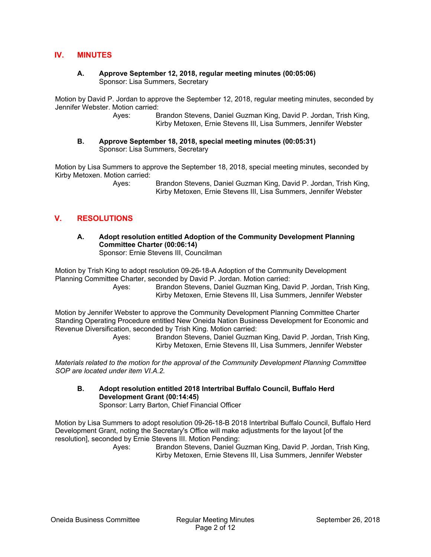## **IV. MINUTES**

#### **A. Approve September 12, 2018, regular meeting minutes (00:05:06)**  Sponsor: Lisa Summers, Secretary

Motion by David P. Jordan to approve the September 12, 2018, regular meeting minutes, seconded by Jennifer Webster. Motion carried:

> Ayes: Brandon Stevens, Daniel Guzman King, David P. Jordan, Trish King, Kirby Metoxen, Ernie Stevens III, Lisa Summers, Jennifer Webster

**B. Approve September 18, 2018, special meeting minutes (00:05:31)**  Sponsor: Lisa Summers, Secretary

Motion by Lisa Summers to approve the September 18, 2018, special meeting minutes, seconded by Kirby Metoxen. Motion carried:

> Ayes: Brandon Stevens, Daniel Guzman King, David P. Jordan, Trish King, Kirby Metoxen, Ernie Stevens III, Lisa Summers, Jennifer Webster

## **V. RESOLUTIONS**

**A. Adopt resolution entitled Adoption of the Community Development Planning Committee Charter (00:06:14)** 

Sponsor: Ernie Stevens III, Councilman

Motion by Trish King to adopt resolution 09-26-18-A Adoption of the Community Development Planning Committee Charter, seconded by David P. Jordan. Motion carried:

 Ayes: Brandon Stevens, Daniel Guzman King, David P. Jordan, Trish King, Kirby Metoxen, Ernie Stevens III, Lisa Summers, Jennifer Webster

Motion by Jennifer Webster to approve the Community Development Planning Committee Charter Standing Operating Procedure entitled New Oneida Nation Business Development for Economic and Revenue Diversification, seconded by Trish King. Motion carried:

 Ayes: Brandon Stevens, Daniel Guzman King, David P. Jordan, Trish King, Kirby Metoxen, Ernie Stevens III, Lisa Summers, Jennifer Webster

*Materials related to the motion for the approval of the Community Development Planning Committee SOP are located under item VI.A.2.* 

**B. Adopt resolution entitled 2018 Intertribal Buffalo Council, Buffalo Herd Development Grant (00:14:45)** 

Sponsor: Larry Barton, Chief Financial Officer

Motion by Lisa Summers to adopt resolution 09-26-18-B 2018 Intertribal Buffalo Council, Buffalo Herd Development Grant, noting the Secretary's Office will make adjustments for the layout [of the resolution], seconded by Ernie Stevens III. Motion Pending:

 Ayes: Brandon Stevens, Daniel Guzman King, David P. Jordan, Trish King, Kirby Metoxen, Ernie Stevens III, Lisa Summers, Jennifer Webster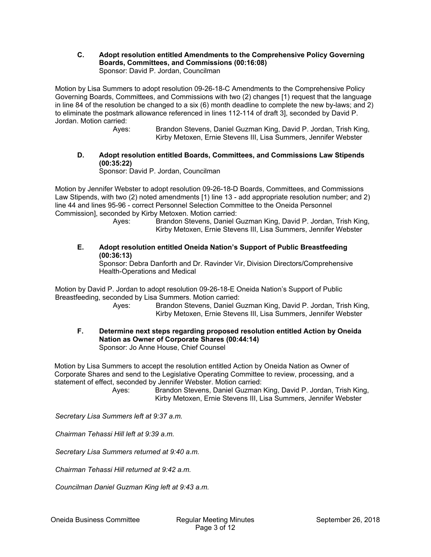**C. Adopt resolution entitled Amendments to the Comprehensive Policy Governing Boards, Committees, and Commissions (00:16:08)**  Sponsor: David P. Jordan, Councilman

Motion by Lisa Summers to adopt resolution 09-26-18-C Amendments to the Comprehensive Policy Governing Boards, Committees, and Commissions with two (2) changes [1) request that the language in line 84 of the resolution be changed to a six (6) month deadline to complete the new by-laws; and 2) to eliminate the postmark allowance referenced in lines 112-114 of draft 3], seconded by David P. Jordan. Motion carried:

- Ayes: Brandon Stevens, Daniel Guzman King, David P. Jordan, Trish King, Kirby Metoxen, Ernie Stevens III, Lisa Summers, Jennifer Webster
- **D. Adopt resolution entitled Boards, Committees, and Commissions Law Stipends (00:35:22)**

Sponsor: David P. Jordan, Councilman

Motion by Jennifer Webster to adopt resolution 09-26-18-D Boards, Committees, and Commissions Law Stipends, with two (2) noted amendments [1) line 13 - add appropriate resolution number; and 2) line 44 and lines 95-96 - correct Personnel Selection Committee to the Oneida Personnel Commission], seconded by Kirby Metoxen. Motion carried:

- Ayes: Brandon Stevens, Daniel Guzman King, David P. Jordan, Trish King, Kirby Metoxen, Ernie Stevens III, Lisa Summers, Jennifer Webster
- **E. Adopt resolution entitled Oneida Nation's Support of Public Breastfeeding (00:36:13)**

Sponsor: Debra Danforth and Dr. Ravinder Vir, Division Directors/Comprehensive Health-Operations and Medical

Motion by David P. Jordan to adopt resolution 09-26-18-E Oneida Nation's Support of Public Breastfeeding, seconded by Lisa Summers. Motion carried:

 Ayes: Brandon Stevens, Daniel Guzman King, David P. Jordan, Trish King, Kirby Metoxen, Ernie Stevens III, Lisa Summers, Jennifer Webster

**F. Determine next steps regarding proposed resolution entitled Action by Oneida Nation as Owner of Corporate Shares (00:44:14)**  Sponsor: Jo Anne House, Chief Counsel

Motion by Lisa Summers to accept the resolution entitled Action by Oneida Nation as Owner of Corporate Shares and send to the Legislative Operating Committee to review, processing, and a statement of effect, seconded by Jennifer Webster. Motion carried:

 Ayes: Brandon Stevens, Daniel Guzman King, David P. Jordan, Trish King, Kirby Metoxen, Ernie Stevens III, Lisa Summers, Jennifer Webster

*Secretary Lisa Summers left at 9:37 a.m.* 

*Chairman Tehassi Hill left at 9:39 a.m.* 

*Secretary Lisa Summers returned at 9:40 a.m.* 

*Chairman Tehassi Hill returned at 9:42 a.m.* 

*Councilman Daniel Guzman King left at 9:43 a.m.*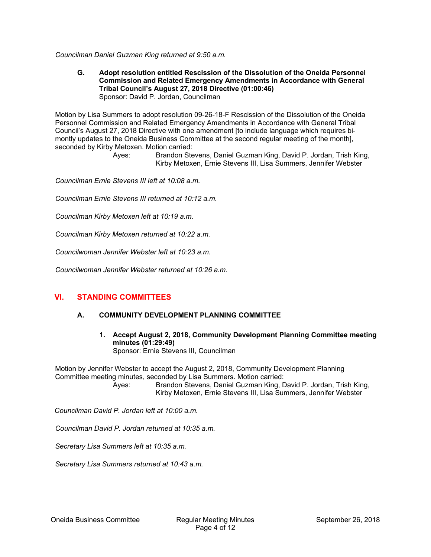*Councilman Daniel Guzman King returned at 9:50 a.m.* 

**G. Adopt resolution entitled Rescission of the Dissolution of the Oneida Personnel Commission and Related Emergency Amendments in Accordance with General Tribal Council's August 27, 2018 Directive (01:00:46)**  Sponsor: David P. Jordan, Councilman

Motion by Lisa Summers to adopt resolution 09-26-18-F Rescission of the Dissolution of the Oneida Personnel Commission and Related Emergency Amendments in Accordance with General Tribal Council's August 27, 2018 Directive with one amendment [to include language which requires bimontly updates to the Oneida Business Committee at the second regular meeting of the month], seconded by Kirby Metoxen. Motion carried:

> Ayes: Brandon Stevens, Daniel Guzman King, David P. Jordan, Trish King, Kirby Metoxen, Ernie Stevens III, Lisa Summers, Jennifer Webster

*Councilman Ernie Stevens III left at 10:08 a.m.* 

*Councilman Ernie Stevens III returned at 10:12 a.m.* 

*Councilman Kirby Metoxen left at 10:19 a.m.* 

*Councilman Kirby Metoxen returned at 10:22 a.m.* 

*Councilwoman Jennifer Webster left at 10:23 a.m.* 

*Councilwoman Jennifer Webster returned at 10:26 a.m.* 

## **VI. STANDING COMMITTEES**

## **A. COMMUNITY DEVELOPMENT PLANNING COMMITTEE**

**1. Accept August 2, 2018, Community Development Planning Committee meeting minutes (01:29:49)**  Sponsor: Ernie Stevens III, Councilman

Motion by Jennifer Webster to accept the August 2, 2018, Community Development Planning Committee meeting minutes, seconded by Lisa Summers. Motion carried:

 Ayes: Brandon Stevens, Daniel Guzman King, David P. Jordan, Trish King, Kirby Metoxen, Ernie Stevens III, Lisa Summers, Jennifer Webster

*Councilman David P. Jordan left at 10:00 a.m.* 

*Councilman David P. Jordan returned at 10:35 a.m.* 

*Secretary Lisa Summers left at 10:35 a.m.* 

*Secretary Lisa Summers returned at 10:43 a.m.*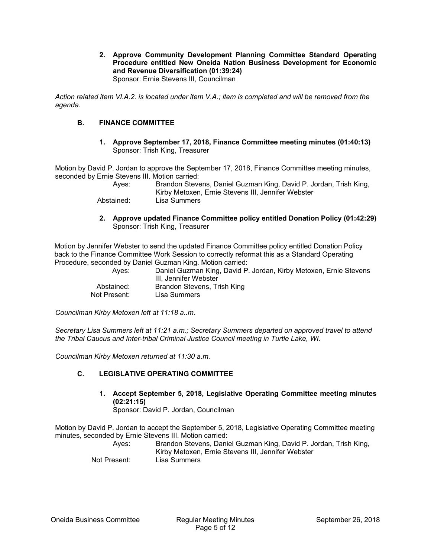**2. Approve Community Development Planning Committee Standard Operating Procedure entitled New Oneida Nation Business Development for Economic and Revenue Diversification (01:39:24)**  Sponsor: Ernie Stevens III, Councilman

*Action related item VI.A.2. is located under item V.A.; item is completed and will be removed from the agenda.* 

## **B. FINANCE COMMITTEE**

**1. Approve September 17, 2018, Finance Committee meeting minutes (01:40:13)**  Sponsor: Trish King, Treasurer

Motion by David P. Jordan to approve the September 17, 2018, Finance Committee meeting minutes, seconded by Ernie Stevens III. Motion carried:

| Aves:      | Brandon Stevens, Daniel Guzman King, David P. Jordan, Trish King, |
|------------|-------------------------------------------------------------------|
|            | Kirby Metoxen, Ernie Stevens III, Jennifer Webster                |
| Abstained: | Lisa Summers                                                      |

**2. Approve updated Finance Committee policy entitled Donation Policy (01:42:29)**  Sponsor: Trish King, Treasurer

Motion by Jennifer Webster to send the updated Finance Committee policy entitled Donation Policy back to the Finance Committee Work Session to correctly reformat this as a Standard Operating Procedure, seconded by Daniel Guzman King. Motion carried:

| Aves:        | Daniel Guzman King, David P. Jordan, Kirby Metoxen, Ernie Stevens<br>III. Jennifer Webster |
|--------------|--------------------------------------------------------------------------------------------|
| Abstained:   | Brandon Stevens, Trish King                                                                |
| Not Present: | Lisa Summers                                                                               |

*Councilman Kirby Metoxen left at 11:18 a..m.* 

*Secretary Lisa Summers left at 11:21 a.m.; Secretary Summers departed on approved travel to attend the Tribal Caucus and Inter-tribal Criminal Justice Council meeting in Turtle Lake, WI.* 

*Councilman Kirby Metoxen returned at 11:30 a.m.* 

## **C. LEGISLATIVE OPERATING COMMITTEE**

**1. Accept September 5, 2018, Legislative Operating Committee meeting minutes (02:21:15)** 

Sponsor: David P. Jordan, Councilman

Motion by David P. Jordan to accept the September 5, 2018, Legislative Operating Committee meeting minutes, seconded by Ernie Stevens III. Motion carried:

 Ayes: Brandon Stevens, Daniel Guzman King, David P. Jordan, Trish King, Kirby Metoxen, Ernie Stevens III, Jennifer Webster Not Present: Lisa Summers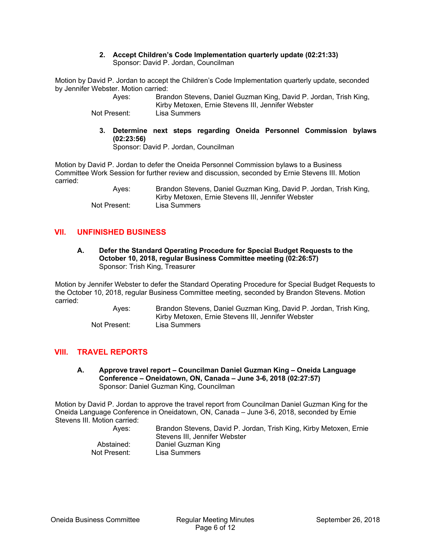#### **2. Accept Children's Code Implementation quarterly update (02:21:33)**  Sponsor: David P. Jordan, Councilman

Motion by David P. Jordan to accept the Children's Code Implementation quarterly update, seconded by Jennifer Webster. Motion carried:

> Ayes: Brandon Stevens, Daniel Guzman King, David P. Jordan, Trish King, Kirby Metoxen, Ernie Stevens III, Jennifer Webster

Not Present: Lisa Summers

**3. Determine next steps regarding Oneida Personnel Commission bylaws (02:23:56)** 

Sponsor: David P. Jordan, Councilman

Motion by David P. Jordan to defer the Oneida Personnel Commission bylaws to a Business Committee Work Session for further review and discussion, seconded by Ernie Stevens III. Motion carried:

 Ayes: Brandon Stevens, Daniel Guzman King, David P. Jordan, Trish King, Kirby Metoxen, Ernie Stevens III, Jennifer Webster Not Present:

## **VII. UNFINISHED BUSINESS**

**A. Defer the Standard Operating Procedure for Special Budget Requests to the October 10, 2018, regular Business Committee meeting (02:26:57)**  Sponsor: Trish King, Treasurer

Motion by Jennifer Webster to defer the Standard Operating Procedure for Special Budget Requests to the October 10, 2018, regular Business Committee meeting, seconded by Brandon Stevens. Motion carried:

 Ayes: Brandon Stevens, Daniel Guzman King, David P. Jordan, Trish King, Kirby Metoxen, Ernie Stevens III, Jennifer Webster Not Present: Lisa Summers

# **VIII. TRAVEL REPORTS**

**A. Approve travel report – Councilman Daniel Guzman King – Oneida Language Conference – Oneidatown, ON, Canada – June 3-6, 2018 (02:27:57)**  Sponsor: Daniel Guzman King, Councilman

Motion by David P. Jordan to approve the travel report from Councilman Daniel Guzman King for the Oneida Language Conference in Oneidatown, ON, Canada – June 3-6, 2018, seconded by Ernie Stevens III. Motion carried:

| Aves:        | Brandon Stevens, David P. Jordan, Trish King, Kirby Metoxen, Ernie |
|--------------|--------------------------------------------------------------------|
|              | Stevens III. Jennifer Webster                                      |
| Abstained:   | Daniel Guzman King                                                 |
| Not Present: | Lisa Summers                                                       |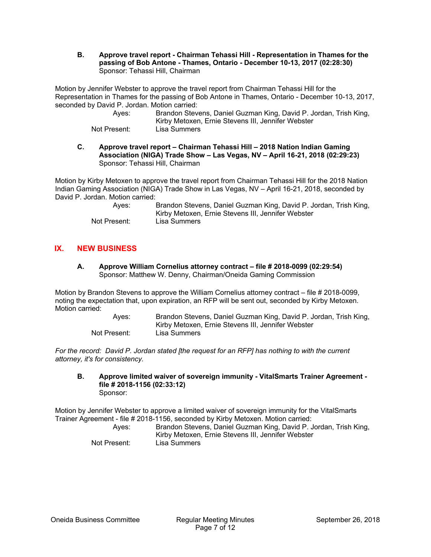**B. Approve travel report - Chairman Tehassi Hill - Representation in Thames for the passing of Bob Antone - Thames, Ontario - December 10-13, 2017 (02:28:30)**  Sponsor: Tehassi Hill, Chairman

Motion by Jennifer Webster to approve the travel report from Chairman Tehassi Hill for the Representation in Thames for the passing of Bob Antone in Thames, Ontario - December 10-13, 2017, seconded by David P. Jordan. Motion carried:

| Aves:        | Brandon Stevens, Daniel Guzman King, David P. Jordan, Trish King, |
|--------------|-------------------------------------------------------------------|
|              | Kirby Metoxen, Ernie Stevens III, Jennifer Webster                |
| Not Present: | Lisa Summers                                                      |

**C. Approve travel report – Chairman Tehassi Hill – 2018 Nation Indian Gaming Association (NIGA) Trade Show – Las Vegas, NV – April 16-21, 2018 (02:29:23)**  Sponsor: Tehassi Hill, Chairman

Motion by Kirby Metoxen to approve the travel report from Chairman Tehassi Hill for the 2018 Nation Indian Gaming Association (NIGA) Trade Show in Las Vegas, NV – April 16-21, 2018, seconded by David P. Jordan. Motion carried:

| Aves:        | Brandon Stevens, Daniel Guzman King, David P. Jordan, Trish King, |
|--------------|-------------------------------------------------------------------|
|              | Kirby Metoxen, Ernie Stevens III, Jennifer Webster                |
| Not Present: | Lisa Summers                                                      |

# **IX. NEW BUSINESS**

**A. Approve William Cornelius attorney contract – file # 2018-0099 (02:29:54)**  Sponsor: Matthew W. Denny, Chairman/Oneida Gaming Commission

Motion by Brandon Stevens to approve the William Cornelius attorney contract – file # 2018-0099, noting the expectation that, upon expiration, an RFP will be sent out, seconded by Kirby Metoxen. Motion carried:

> Ayes: Brandon Stevens, Daniel Guzman King, David P. Jordan, Trish King, Kirby Metoxen, Ernie Stevens III, Jennifer Webster Not Present: Lisa Summers

*For the record: David P. Jordan stated [the request for an RFP] has nothing to with the current attorney, it's for consistency.* 

**B. Approve limited waiver of sovereign immunity - VitalSmarts Trainer Agreement file # 2018-1156 (02:33:12)**  Sponsor:

Motion by Jennifer Webster to approve a limited waiver of sovereign immunity for the VitalSmarts Trainer Agreement - file # 2018-1156, seconded by Kirby Metoxen. Motion carried:

| Aves:        | Brandon Stevens, Daniel Guzman King, David P. Jordan, Trish King, |
|--------------|-------------------------------------------------------------------|
|              | Kirby Metoxen, Ernie Stevens III, Jennifer Webster                |
|              |                                                                   |
| Not Present: | Lisa Summers                                                      |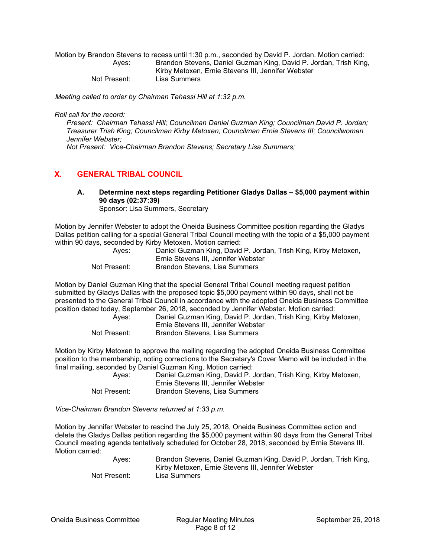Motion by Brandon Stevens to recess until 1:30 p.m., seconded by David P. Jordan. Motion carried: Ayes: Brandon Stevens, Daniel Guzman King, David P. Jordan, Trish King, Kirby Metoxen, Ernie Stevens III, Jennifer Webster Not Present: Lisa Summers

*Meeting called to order by Chairman Tehassi Hill at 1:32 p.m.* 

*Roll call for the record:* 

*Present: Chairman Tehassi Hill; Councilman Daniel Guzman King; Councilman David P. Jordan; Treasurer Trish King; Councilman Kirby Metoxen; Councilman Ernie Stevens III; Councilwoman Jennifer Webster; Not Present: Vice-Chairman Brandon Stevens; Secretary Lisa Summers;* 

## **X. GENERAL TRIBAL COUNCIL**

**A. Determine next steps regarding Petitioner Gladys Dallas – \$5,000 payment within 90 days (02:37:39)** 

Sponsor: Lisa Summers, Secretary

Motion by Jennifer Webster to adopt the Oneida Business Committee position regarding the Gladys Dallas petition calling for a special General Tribal Council meeting with the topic of a \$5,000 payment within 90 days, seconded by Kirby Metoxen. Motion carried:

| Aves:        | Daniel Guzman King, David P. Jordan, Trish King, Kirby Metoxen, |
|--------------|-----------------------------------------------------------------|
|              | Ernie Stevens III, Jennifer Webster                             |
| Not Present: | Brandon Stevens, Lisa Summers                                   |

Motion by Daniel Guzman King that the special General Tribal Council meeting request petition submitted by Gladys Dallas with the proposed topic \$5,000 payment within 90 days, shall not be presented to the General Tribal Council in accordance with the adopted Oneida Business Committee position dated today, September 26, 2018, seconded by Jennifer Webster. Motion carried:

| Aves:        | Daniel Guzman King, David P. Jordan, Trish King, Kirby Metoxen, |
|--------------|-----------------------------------------------------------------|
|              | Ernie Stevens III. Jennifer Webster                             |
| Not Present: | Brandon Stevens, Lisa Summers                                   |

Motion by Kirby Metoxen to approve the mailing regarding the adopted Oneida Business Committee position to the membership, noting corrections to the Secretary's Cover Memo will be included in the final mailing, seconded by Daniel Guzman King. Motion carried:

| Aves:        | Daniel Guzman King, David P. Jordan, Trish King, Kirby Metoxen, |
|--------------|-----------------------------------------------------------------|
|              | Ernie Stevens III, Jennifer Webster                             |
| Not Present: | Brandon Stevens, Lisa Summers                                   |

*Vice-Chairman Brandon Stevens returned at 1:33 p.m.* 

Motion by Jennifer Webster to rescind the July 25, 2018, Oneida Business Committee action and delete the Gladys Dallas petition regarding the \$5,000 payment within 90 days from the General Tribal Council meeting agenda tentatively scheduled for October 28, 2018, seconded by Ernie Stevens III. Motion carried:

> Ayes: Brandon Stevens, Daniel Guzman King, David P. Jordan, Trish King, Kirby Metoxen, Ernie Stevens III, Jennifer Webster Not Present: Lisa Summers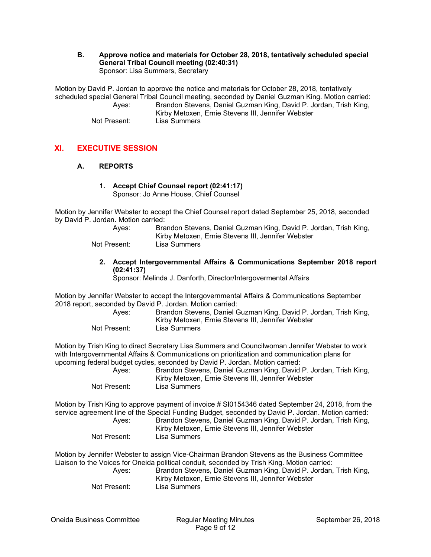**B. Approve notice and materials for October 28, 2018, tentatively scheduled special General Tribal Council meeting (02:40:31)**  Sponsor: Lisa Summers, Secretary

Motion by David P. Jordan to approve the notice and materials for October 28, 2018, tentatively scheduled special General Tribal Council meeting, seconded by Daniel Guzman King. Motion carried: Ayes: Brandon Stevens, Daniel Guzman King, David P. Jordan, Trish King, Kirby Metoxen, Ernie Stevens III, Jennifer Webster Not Present: Lisa Summers

# **XI. EXECUTIVE SESSION**

#### **A. REPORTS**

#### **1. Accept Chief Counsel report (02:41:17)**  Sponsor: Jo Anne House, Chief Counsel

Motion by Jennifer Webster to accept the Chief Counsel report dated September 25, 2018, seconded by David P. Jordan. Motion carried:

| Aves:        | Brandon Stevens, Daniel Guzman King, David P. Jordan, Trish King, |
|--------------|-------------------------------------------------------------------|
|              | Kirby Metoxen, Ernie Stevens III, Jennifer Webster                |
| Not Present: | Lisa Summers                                                      |

**2. Accept Intergovernmental Affairs & Communications September 2018 report (02:41:37)** 

Sponsor: Melinda J. Danforth, Director/Intergovermental Affairs

Motion by Jennifer Webster to accept the Intergovernmental Affairs & Communications September 2018 report, seconded by David P. Jordan. Motion carried:

 Ayes: Brandon Stevens, Daniel Guzman King, David P. Jordan, Trish King, Kirby Metoxen, Ernie Stevens III, Jennifer Webster Not Present: Lisa Summers

Motion by Trish King to direct Secretary Lisa Summers and Councilwoman Jennifer Webster to work with Intergovernmental Affairs & Communications on prioritization and communication plans for upcoming federal budget cycles, seconded by David P. Jordan. Motion carried:

 Ayes: Brandon Stevens, Daniel Guzman King, David P. Jordan, Trish King, Kirby Metoxen, Ernie Stevens III, Jennifer Webster Not Present: Lisa Summers

Motion by Trish King to approve payment of invoice # SI0154346 dated September 24, 2018, from the service agreement line of the Special Funding Budget, seconded by David P. Jordan. Motion carried: Ayes: Brandon Stevens, Daniel Guzman King, David P. Jordan, Trish King, Kirby Metoxen, Ernie Stevens III, Jennifer Webster

Not Present: Lisa Summers

Motion by Jennifer Webster to assign Vice-Chairman Brandon Stevens as the Business Committee Liaison to the Voices for Oneida political conduit, seconded by Trish King. Motion carried:

| Aves:        | Brandon Stevens, Daniel Guzman King, David P. Jordan, Trish King, |
|--------------|-------------------------------------------------------------------|
|              | Kirby Metoxen, Ernie Stevens III, Jennifer Webster                |
| Not Present: | Lisa Summers                                                      |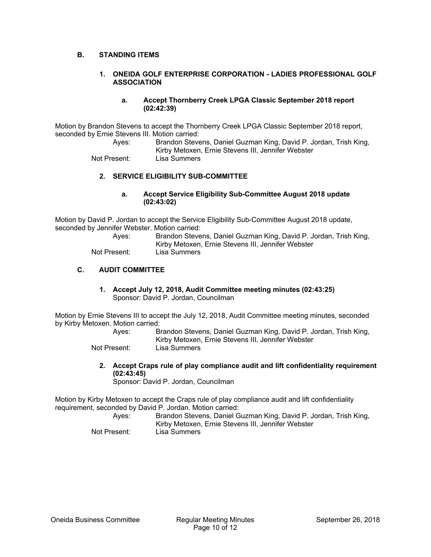## **B. STANDING ITEMS**

#### **1. ONEIDA GOLF ENTERPRISE CORPORATION - LADIES PROFESSIONAL GOLF ASSOCIATION**

#### **a. Accept Thornberry Creek LPGA Classic September 2018 report (02:42:39)**

Motion by Brandon Stevens to accept the Thornberry Creek LPGA Classic September 2018 report, seconded by Ernie Stevens III. Motion carried:

 Ayes: Brandon Stevens, Daniel Guzman King, David P. Jordan, Trish King, Kirby Metoxen, Ernie Stevens III, Jennifer Webster Not Present: Lisa Summers

**2. SERVICE ELIGIBILITY SUB-COMMITTEE** 

## **a. Accept Service Eligibility Sub-Committee August 2018 update (02:43:02)**

Motion by David P. Jordan to accept the Service Eligibility Sub-Committee August 2018 update, seconded by Jennifer Webster. Motion carried:

| Aves:        | Brandon Stevens, Daniel Guzman King, David P. Jordan, Trish King,<br>Kirby Metoxen, Ernie Stevens III, Jennifer Webster |
|--------------|-------------------------------------------------------------------------------------------------------------------------|
| Not Present: | Lisa Summers                                                                                                            |

#### **C. AUDIT COMMITTEE**

**1. Accept July 12, 2018, Audit Committee meeting minutes (02:43:25)**  Sponsor: David P. Jordan, Councilman

Motion by Ernie Stevens III to accept the July 12, 2018, Audit Committee meeting minutes, seconded by Kirby Metoxen. Motion carried:

 Ayes: Brandon Stevens, Daniel Guzman King, David P. Jordan, Trish King, Kirby Metoxen, Ernie Stevens III, Jennifer Webster

Not Present: Lisa Summers

**2. Accept Craps rule of play compliance audit and lift confidentiality requirement (02:43:45)** 

Sponsor: David P. Jordan, Councilman

Motion by Kirby Metoxen to accept the Craps rule of play compliance audit and lift confidentiality requirement, seconded by David P. Jordan. Motion carried:

| Aves:        | Brandon Stevens, Daniel Guzman King, David P. Jordan, Trish King,<br>Kirby Metoxen, Ernie Stevens III, Jennifer Webster |
|--------------|-------------------------------------------------------------------------------------------------------------------------|
| Not Present: | Lisa Summers                                                                                                            |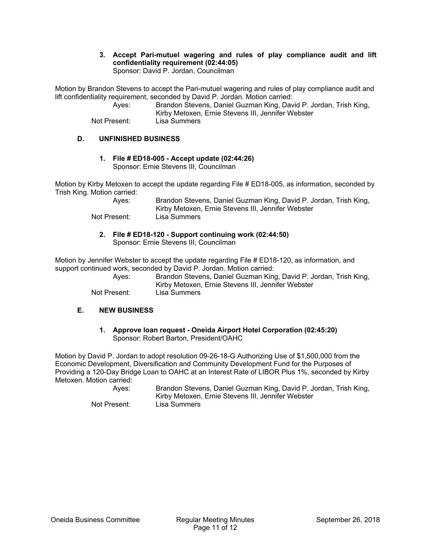**3. Accept Pari-mutuel wagering and rules of play compliance audit and lift confidentiality requirement (02:44:05)**  Sponsor: David P. Jordan, Councilman

Motion by Brandon Stevens to accept the Pari-mutuel wagering and rules of play compliance audit and lift confidentiality requirement, seconded by David P. Jordan. Motion carried:

 Ayes: Brandon Stevens, Daniel Guzman King, David P. Jordan, Trish King, Kirby Metoxen, Ernie Stevens III, Jennifer Webster Not Present: Lisa Summers

## **D. UNFINISHED BUSINESS**

**1. File # ED18-005 - Accept update (02:44:26)**  Sponsor: Ernie Stevens III, Councilman

Motion by Kirby Metoxen to accept the update regarding File # ED18-005, as information, seconded by Trish King. Motion carried:

> Ayes: Brandon Stevens, Daniel Guzman King, David P. Jordan, Trish King, Kirby Metoxen, Ernie Stevens III, Jennifer Webster Not Present: Lisa Summers

**2. File # ED18-120 - Support continuing work (02:44:50)**  Sponsor: Ernie Stevens III, Councilman

Motion by Jennifer Webster to accept the update regarding File # ED18-120, as information, and support continued work, seconded by David P. Jordan. Motion carried:

 Ayes: Brandon Stevens, Daniel Guzman King, David P. Jordan, Trish King, Kirby Metoxen, Ernie Stevens III, Jennifer Webster Not Present: Lisa Summers

#### **E. NEW BUSINESS**

**1. Approve loan request - Oneida Airport Hotel Corporation (02:45:20)**  Sponsor: Robert Barton, President/OAHC

Motion by David P. Jordan to adopt resolution 09-26-18-G Authorizing Use of \$1,500,000 from the Economic Development, Diversification and Community Development Fund for the Purposes of Providing a 120-Day Bridge Loan to OAHC at an Interest Rate of LIBOR Plus 1%, seconded by Kirby Metoxen. Motion carried:

 Ayes: Brandon Stevens, Daniel Guzman King, David P. Jordan, Trish King, Kirby Metoxen, Ernie Stevens III, Jennifer Webster Not Present: Lisa Summers

Oneida Business Committee Regular Meeting Minutes September 26, 2018